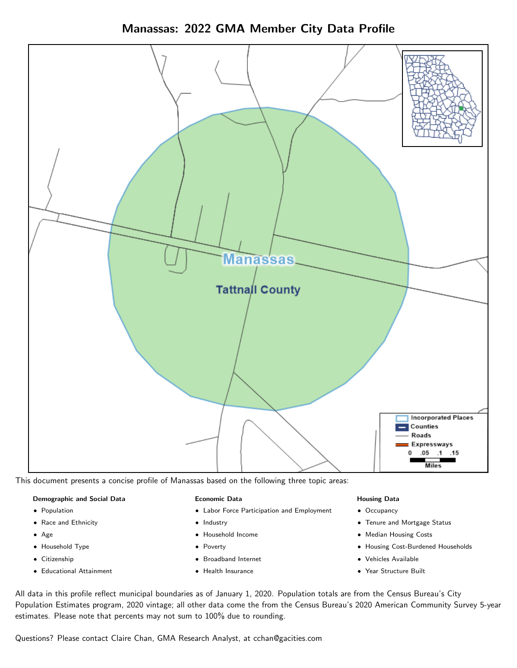Manassas: 2022 GMA Member City Data Profile



This document presents a concise profile of Manassas based on the following three topic areas:

#### Demographic and Social Data

- **•** Population
- Race and Ethnicity
- Age
- Household Type
- **Citizenship**
- Educational Attainment

#### Economic Data

- Labor Force Participation and Employment
- Industry
- Household Income
- Poverty
- Broadband Internet
- Health Insurance

#### Housing Data

- Occupancy
- Tenure and Mortgage Status
- Median Housing Costs
- Housing Cost-Burdened Households
- Vehicles Available
- Year Structure Built

All data in this profile reflect municipal boundaries as of January 1, 2020. Population totals are from the Census Bureau's City Population Estimates program, 2020 vintage; all other data come the from the Census Bureau's 2020 American Community Survey 5-year estimates. Please note that percents may not sum to 100% due to rounding.

Questions? Please contact Claire Chan, GMA Research Analyst, at [cchan@gacities.com.](mailto:cchan@gacities.com)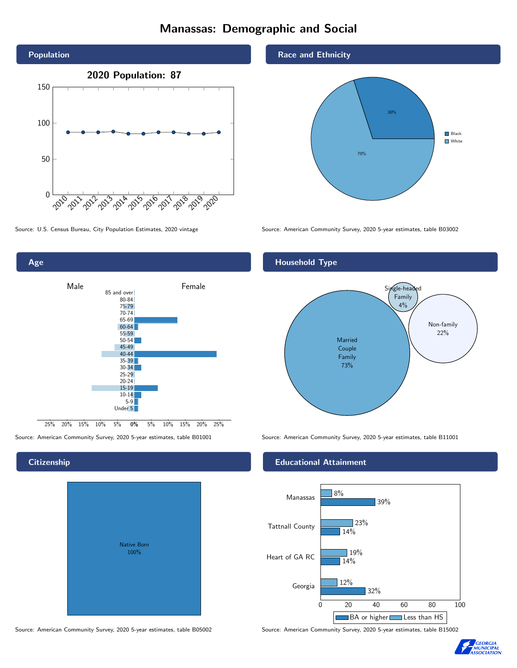# Manassas: Demographic and Social





## **Citizenship**

| Native Born<br>100% |  |
|---------------------|--|

Race and Ethnicity



Source: U.S. Census Bureau, City Population Estimates, 2020 vintage Source: American Community Survey, 2020 5-year estimates, table B03002

## Household Type



Source: American Community Survey, 2020 5-year estimates, table B01001 Source: American Community Survey, 2020 5-year estimates, table B11001

#### Educational Attainment



Source: American Community Survey, 2020 5-year estimates, table B05002 Source: American Community Survey, 2020 5-year estimates, table B15002

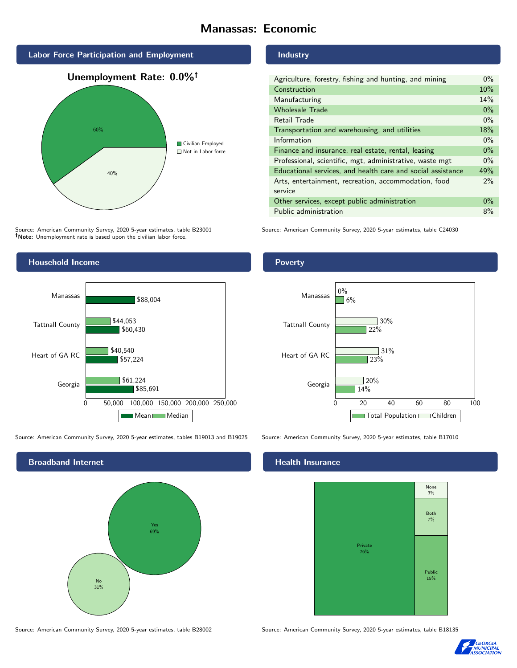# Manassas: Economic



Source: American Community Survey, 2020 5-year estimates, table B23001 Note: Unemployment rate is based upon the civilian labor force.



Source: American Community Survey, 2020 5-year estimates, tables B19013 and B19025 Source: American Community Survey, 2020 5-year estimates, table B17010



#### Industry

| Agriculture, forestry, fishing and hunting, and mining      | $0\%$ |
|-------------------------------------------------------------|-------|
| Construction                                                | 10%   |
| Manufacturing                                               | 14%   |
| <b>Wholesale Trade</b>                                      | $0\%$ |
| Retail Trade                                                | $0\%$ |
| Transportation and warehousing, and utilities               | 18%   |
| Information                                                 | $0\%$ |
| Finance and insurance, real estate, rental, leasing         | $0\%$ |
| Professional, scientific, mgt, administrative, waste mgt    | $0\%$ |
| Educational services, and health care and social assistance | 49%   |
| Arts, entertainment, recreation, accommodation, food        | 2%    |
| service                                                     |       |
| Other services, except public administration                |       |
| Public administration                                       | 8%    |

Source: American Community Survey, 2020 5-year estimates, table C24030

#### Poverty



## **Health Insurance**



Source: American Community Survey, 2020 5-year estimates, table B28002 Source: American Community Survey, 2020 5-year estimates, table B18135